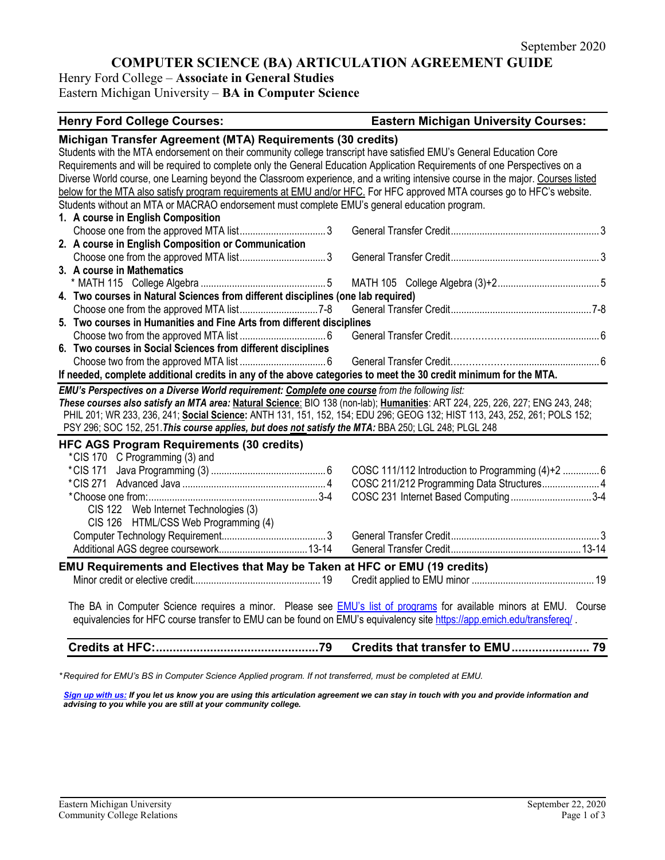# **COMPUTER SCIENCE (BA) ARTICULATION AGREEMENT GUIDE**

Henry Ford College – **Associate in General Studies** Eastern Michigan University – **BA in Computer Science**

#### **Henry Ford College Courses: Eastern Michigan University Courses:**

| Michigan Transfer Agreement (MTA) Requirements (30 credits)                                                                     |                                                   |  |  |
|---------------------------------------------------------------------------------------------------------------------------------|---------------------------------------------------|--|--|
| Students with the MTA endorsement on their community college transcript have satisfied EMU's General Education Core             |                                                   |  |  |
| Requirements and will be required to complete only the General Education Application Requirements of one Perspectives on a      |                                                   |  |  |
| Diverse World course, one Learning beyond the Classroom experience, and a writing intensive course in the major. Courses listed |                                                   |  |  |
| below for the MTA also satisfy program requirements at EMU and/or HFC. For HFC approved MTA courses go to HFC's website.        |                                                   |  |  |
| Students without an MTA or MACRAO endorsement must complete EMU's general education program.                                    |                                                   |  |  |
| 1. A course in English Composition                                                                                              |                                                   |  |  |
|                                                                                                                                 |                                                   |  |  |
| 2. A course in English Composition or Communication                                                                             |                                                   |  |  |
|                                                                                                                                 |                                                   |  |  |
| 3. A course in Mathematics                                                                                                      |                                                   |  |  |
|                                                                                                                                 |                                                   |  |  |
| 4. Two courses in Natural Sciences from different disciplines (one lab required)                                                |                                                   |  |  |
|                                                                                                                                 |                                                   |  |  |
| 5. Two courses in Humanities and Fine Arts from different disciplines                                                           |                                                   |  |  |
|                                                                                                                                 |                                                   |  |  |
| 6. Two courses in Social Sciences from different disciplines                                                                    |                                                   |  |  |
|                                                                                                                                 |                                                   |  |  |
| If needed, complete additional credits in any of the above categories to meet the 30 credit minimum for the MTA.                |                                                   |  |  |
| EMU's Perspectives on a Diverse World requirement: Complete one course from the following list:                                 |                                                   |  |  |
| These courses also satisfy an MTA area: Natural Science: BIO 138 (non-lab); Humanities: ART 224, 225, 226, 227; ENG 243, 248;   |                                                   |  |  |
| PHIL 201; WR 233, 236, 241; Social Science: ANTH 131, 151, 152, 154; EDU 296; GEOG 132; HIST 113, 243, 252, 261; POLS 152;      |                                                   |  |  |
| PSY 296; SOC 152, 251. This course applies, but does not satisfy the MTA: BBA 250; LGL 248; PLGL 248                            |                                                   |  |  |
| <b>HFC AGS Program Requirements (30 credits)</b>                                                                                |                                                   |  |  |
| *CIS 170 C Programming (3) and                                                                                                  |                                                   |  |  |
| *CIS 171                                                                                                                        | COSC 111/112 Introduction to Programming (4)+2  6 |  |  |
|                                                                                                                                 | COSC 211/212 Programming Data Structures 4        |  |  |
|                                                                                                                                 | COSC 231 Internet Based Computing3-4              |  |  |
| CIS 122 Web Internet Technologies (3)                                                                                           |                                                   |  |  |
| CIS 126 HTML/CSS Web Programming (4)                                                                                            |                                                   |  |  |
|                                                                                                                                 |                                                   |  |  |
|                                                                                                                                 |                                                   |  |  |
|                                                                                                                                 |                                                   |  |  |
| EMU Requirements and Electives that May be Taken at HFC or EMU (19 credits)                                                     |                                                   |  |  |
|                                                                                                                                 |                                                   |  |  |
|                                                                                                                                 |                                                   |  |  |
| The BA in Computer Science requires a minor. Please see <b>EMU's list of programs</b> for available minors at EMU. Course       |                                                   |  |  |
| equivalencies for HFC course transfer to EMU can be found on EMU's equivalency site https://app.emich.edu/transfereq/           |                                                   |  |  |

**Credits at HFC:................................................79 Credits that transfer to EMU....................... 79**

*\* Required for EMU's BS in Computer Science Applied program. If not transferred, must be completed at EMU.* 

*[Sign up with us:](https://www.emich.edu/ccr/articulation-agreements/signup.php) If you let us know you are using this articulation agreement we can stay in touch with you and provide information and advising to you while you are still at your community college.*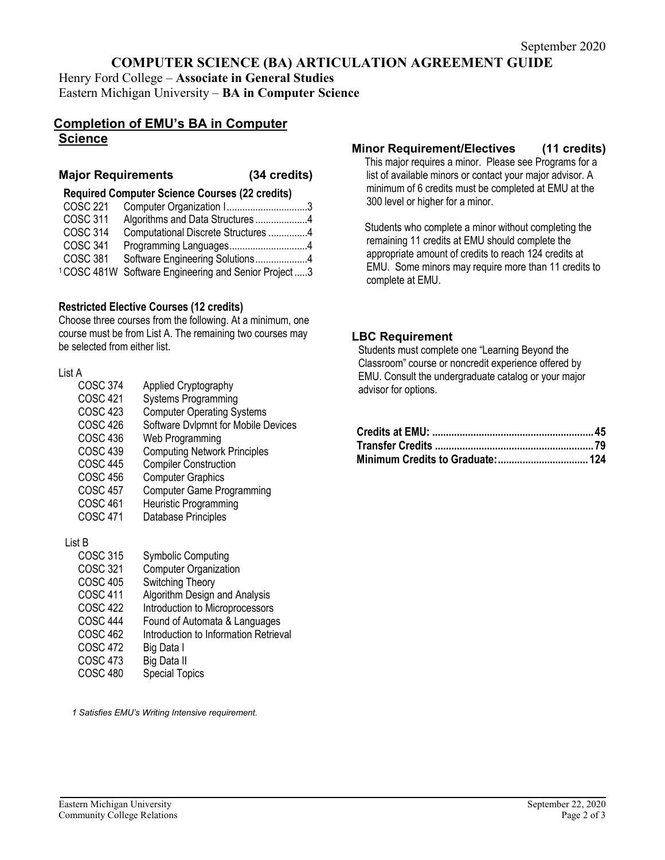# **COMPUTER SCIENCE (BA) ARTICULATION AGREEMENT GUIDE**

Henry Ford College – **Associate in General Studies** Eastern Michigan University – **BA in Computer Science**

## **Completion of EMU's BA in Computer Science**

#### **Major Requirements (34 credits)**

**Required Computer Science Courses (22 credits)**

| COSC 221        | Computer Organization 13                 |  |
|-----------------|------------------------------------------|--|
| <b>COSC 311</b> | Algorithms and Data Structures 4         |  |
| <b>COSC 314</b> | Computational Discrete Structures 4      |  |
| <b>COSC 341</b> | Programming Languages4                   |  |
| <b>COSC 381</b> | Software Engineering Solutions4          |  |
| 1COSC 481W      | Software Engineering and Senior Project3 |  |
|                 |                                          |  |

#### **Restricted Elective Courses (12 credits)**

Choose three courses from the following. At a minimum, one course must be from List A. The remaining two courses may be selected from either list.

#### List A

| Applied Cryptography                |
|-------------------------------------|
| <b>Systems Programming</b>          |
| <b>Computer Operating Systems</b>   |
| Software Dvlpmnt for Mobile Devices |
| Web Programming                     |
| <b>Computing Network Principles</b> |
| <b>Compiler Construction</b>        |
| <b>Computer Graphics</b>            |
| <b>Computer Game Programming</b>    |
| <b>Heuristic Programming</b>        |
| Database Principles                 |
|                                     |
|                                     |

#### List B

| <b>COSC 315</b> | <b>Symbolic Computing</b>             |
|-----------------|---------------------------------------|
| <b>COSC 321</b> | <b>Computer Organization</b>          |
| <b>COSC 405</b> | Switching Theory                      |
| <b>COSC 411</b> | Algorithm Design and Analysis         |
| <b>COSC 422</b> | Introduction to Microprocessors       |
| <b>COSC 444</b> | Found of Automata & Languages         |
| <b>COSC 462</b> | Introduction to Information Retrieval |
| <b>COSC 472</b> | Big Data I                            |
| <b>COSC 473</b> | Big Data II                           |
| <b>COSC 480</b> | <b>Special Topics</b>                 |

*1 Satisfies EMU's Writing Intensive requirement.* 

## **Minor Requirement/Electives (11 credits)**

This major requires a minor. Please see Programs for a list of available minors or contact your major advisor. A minimum of 6 credits must be completed at EMU at the 300 level or higher for a minor.

Students who complete a minor without completing the remaining 11 credits at EMU should complete the appropriate amount of credits to reach 124 credits at EMU. Some minors may require more than 11 credits to complete at EMU.

#### **LBC Requirement**

Students must complete one "Learning Beyond the Classroom" course or noncredit experience offered by EMU. Consult the undergraduate catalog or your major advisor for options.